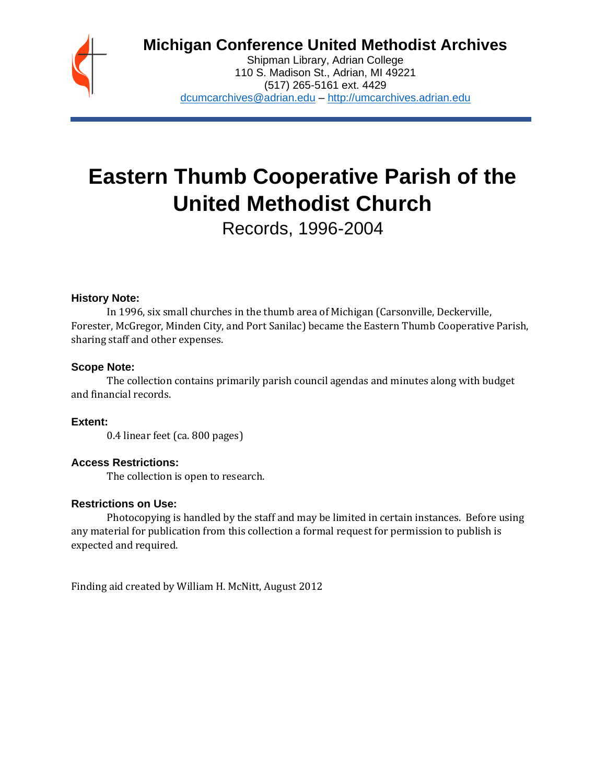

## **Michigan Conference United Methodist Archives**

Shipman Library, Adrian College 110 S. Madison St., Adrian, MI 49221 (517) 265-5161 ext. 4429 [dcumcarchives@adrian.edu](mailto:dcumcarchives@adrian.edu) – [http://umcarchives.adrian.edu](http://umcarchives.adrian.edu/)

# **Eastern Thumb Cooperative Parish of the United Methodist Church**

Records, 1996-2004

#### **History Note:**

In 1996, six small churches in the thumb area of Michigan (Carsonville, Deckerville, Forester, McGregor, Minden City, and Port Sanilac) became the Eastern Thumb Cooperative Parish, sharing staff and other expenses.

#### **Scope Note:**

The collection contains primarily parish council agendas and minutes along with budget and financial records.

**Extent:**

0.4 linear feet (ca. 800 pages)

#### **Access Restrictions:**

The collection is open to research.

#### **Restrictions on Use:**

Photocopying is handled by the staff and may be limited in certain instances. Before using any material for publication from this collection a formal request for permission to publish is expected and required.

Finding aid created by William H. McNitt, August 2012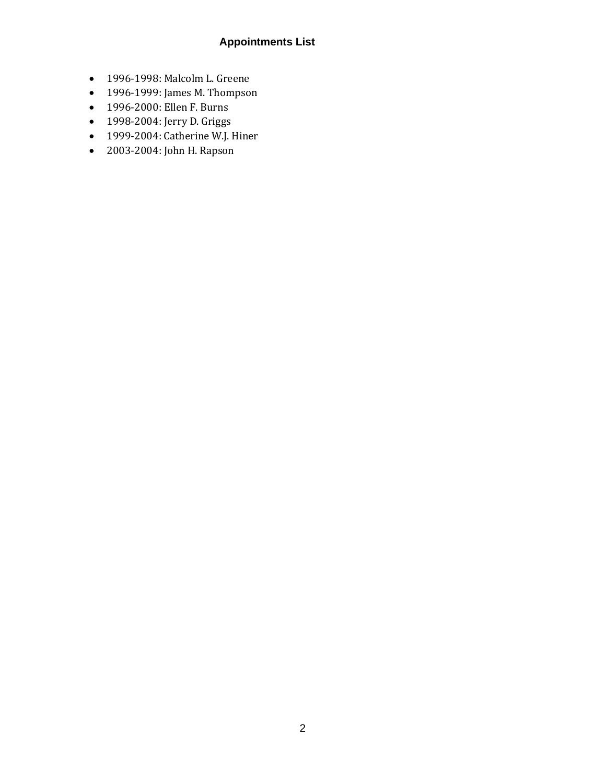### **Appointments List**

- 1996-1998: Malcolm L. Greene
- 1996-1999: James M. Thompson
- 1996-2000: Ellen F. Burns
- 1998-2004: Jerry D. Griggs
- 1999-2004: Catherine W.J. Hiner
- 2003-2004: John H. Rapson